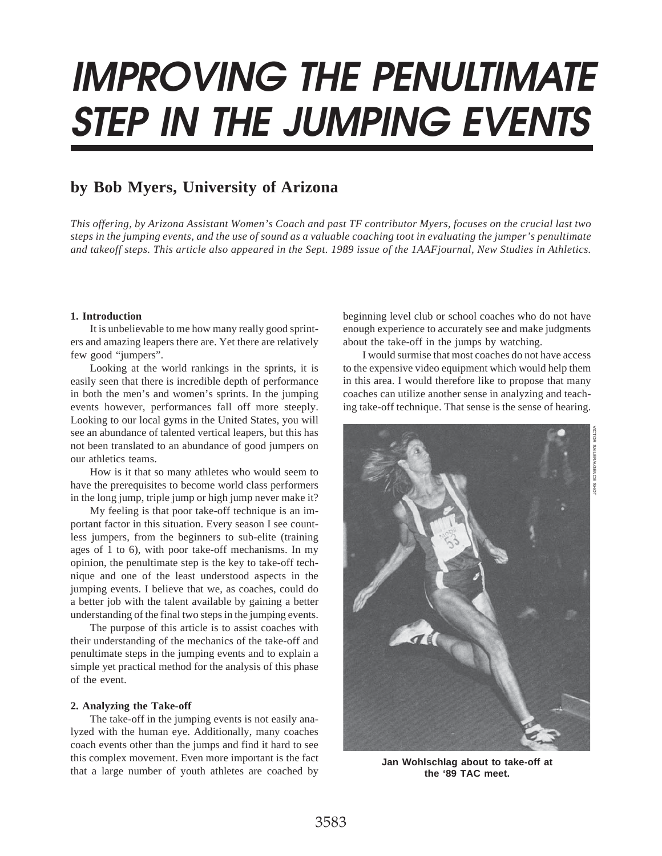# **IMPROVING THE PENULTIMATE STEP IN THE JUMPING EVENTS**

# **by Bob Myers, University of Arizona**

*This offering, by Arizona Assistant Women's Coach and past TF contributor Myers, focuses on the crucial last two steps in the jumping events, and the use of sound as a valuable coaching toot in evaluating the jumper's penultimate and takeoff steps. This article also appeared in the Sept. 1989 issue of the 1AAFjournal, New Studies in Athletics.*

### **1. Introduction**

It is unbelievable to me how many really good sprinters and amazing leapers there are. Yet there are relatively few good "jumpers".

Looking at the world rankings in the sprints, it is easily seen that there is incredible depth of performance in both the men's and women's sprints. In the jumping events however, performances fall off more steeply. Looking to our local gyms in the United States, you will see an abundance of talented vertical leapers, but this has not been translated to an abundance of good jumpers on our athletics teams.

How is it that so many athletes who would seem to have the prerequisites to become world class performers in the long jump, triple jump or high jump never make it?

My feeling is that poor take-off technique is an important factor in this situation. Every season I see countless jumpers, from the beginners to sub-elite (training ages of 1 to 6), with poor take-off mechanisms. In my opinion, the penultimate step is the key to take-off technique and one of the least understood aspects in the jumping events. I believe that we, as coaches, could do a better job with the talent available by gaining a better understanding of the final two steps in the jumping events.

The purpose of this article is to assist coaches with their understanding of the mechanics of the take-off and penultimate steps in the jumping events and to explain a simple yet practical method for the analysis of this phase of the event.

## **2. Analyzing the Take-off**

The take-off in the jumping events is not easily analyzed with the human eye. Additionally, many coaches coach events other than the jumps and find it hard to see this complex movement. Even more important is the fact that a large number of youth athletes are coached by

beginning level club or school coaches who do not have enough experience to accurately see and make judgments about the take-off in the jumps by watching.

I would surmise that most coaches do not have access to the expensive video equipment which would help them in this area. I would therefore like to propose that many coaches can utilize another sense in analyzing and teaching take-off technique. That sense is the sense of hearing.



**Jan Wohlschlag about to take-off at the '89 TAC meet.**